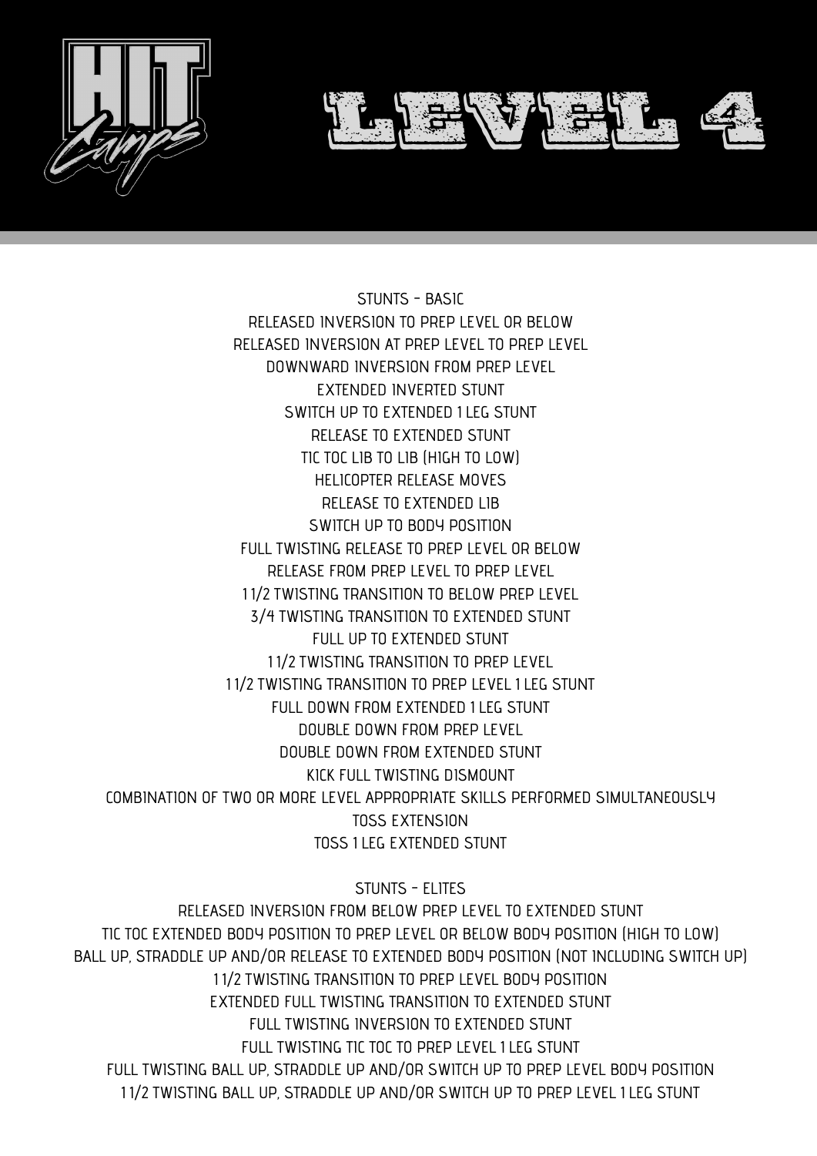

STUNTS - BASIC RELEASED INVERSION TO PREP LEVEL OR BELOW RELEASED INVERSION AT PREP LEVEL TO PREP LEVEL DOWNWARD INVERSION FROM PREP LEVEL EXTENDED INVERTED STUNT SWITCH UP TO EXTENDED 1 LEG STUNT RELEASE TO EXTENDED STUNT TIC TOC LIB TO LIB (HIGH TO LOW) HELICOPTER RELEASE MOVES RELEASE TO EXTENDED LIB SWITCH UP TO BODY POSITION FULL TWISTING RELEASE TO PREP LEVEL OR BELOW RELEASE FROM PREP LEVEL TO PREP LEVEL 1 1⁄2 TWISTING TRANSITION TO BELOW PREP LEVEL 3⁄4 TWISTING TRANSITION TO EXTENDED STUNT FULL UP TO EXTENDED STUNT 1 1⁄2 TWISTING TRANSITION TO PREP LEVEL 1 1⁄2 TWISTING TRANSITION TO PREP LEVEL 1 LEG STUNT FULL DOWN FROM EXTENDED 1 LEG STUNT DOUBLE DOWN FROM PREP LEVEL DOUBLE DOWN FROM EXTENDED STUNT KICK FULL TWISTING DISMOUNT COMBINATION OF TWO OR MORE LEVEL APPROPRIATE SKILLS PERFORMED SIMULTANEOUSLY TOSS EXTENSION TOSS 1 LEG EXTENDED STUNT

STUNTS - ELITES

RELEASED INVERSION FROM BELOW PREP LEVEL TO EXTENDED STUNT TIC TOC EXTENDED BODY POSITION TO PREP LEVEL OR BELOW BODY POSITION (HIGH TO LOW) BALL UP, STRADDLE UP AND/OR RELEASE TO EXTENDED BODY POSITION (NOT INCLUDING SWITCH UP) 1 1⁄2 TWISTING TRANSITION TO PREP LEVEL BODY POSITION EXTENDED FULL TWISTING TRANSITION TO EXTENDED STUNT FULL TWISTING INVERSION TO EXTENDED STUNT FULL TWISTING TIC TOC TO PREP LEVEL 1 LEG STUNT FULL TWISTING BALL UP, STRADDLE UP AND/OR SWITCH UP TO PREP LEVEL BODY POSITION 1 1⁄2 TWISTING BALL UP, STRADDLE UP AND/OR SWITCH UP TO PREP LEVEL 1 LEG STUNT